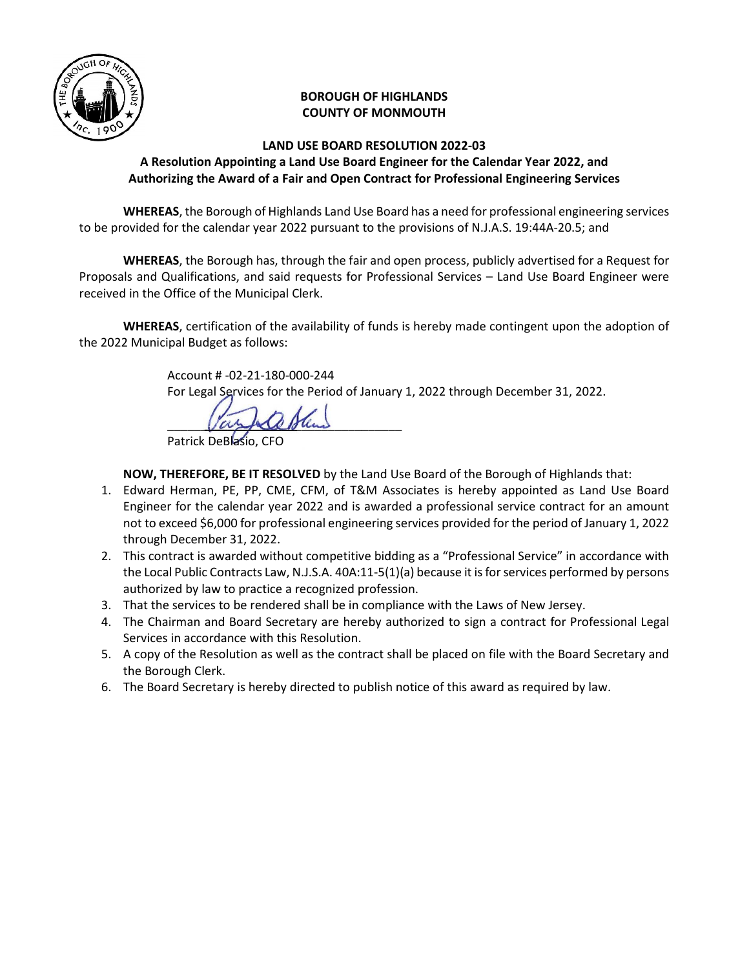

## **BOROUGH OF HIGHLANDS COUNTY OF MONMOUTH**

## **LAND USE BOARD RESOLUTION 2022-03 A Resolution Appointing a Land Use Board Engineer for the Calendar Year 2022, and Authorizing the Award of a Fair and Open Contract for Professional Engineering Services**

 **WHEREAS**, the Borough of Highlands Land Use Board has a need for professional engineering services to be provided for the calendar year 2022 pursuant to the provisions of N.J.A.S. 19:44A-20.5; and

**WHEREAS**, the Borough has, through the fair and open process, publicly advertised for a Request for Proposals and Qualifications, and said requests for Professional Services – Land Use Board Engineer were received in the Office of the Municipal Clerk.

**WHEREAS**, certification of the availability of funds is hereby made contingent upon the adoption of the 2022 Municipal Budget as follows:

> Account # -02-21-180-000-244 For Legal Services for the Period of January 1, 2022 through December 31, 2022.

 $\sqrt{\alpha}$ 

**NOW, THEREFORE, BE IT RESOLVED** by the Land Use Board of the Borough of Highlands that:

- 1. Edward Herman, PE, PP, CME, CFM, of T&M Associates is hereby appointed as Land Use Board Engineer for the calendar year 2022 and is awarded a professional service contract for an amount not to exceed \$6,000 for professional engineering services provided for the period of January 1, 2022 through December 31, 2022.
- 2. This contract is awarded without competitive bidding as a "Professional Service" in accordance with the Local Public Contracts Law, N.J.S.A. 40A:11-5(1)(a) because it is for services performed by persons authorized by law to practice a recognized profession.
- 3. That the services to be rendered shall be in compliance with the Laws of New Jersey.
- 4. The Chairman and Board Secretary are hereby authorized to sign a contract for Professional Legal Services in accordance with this Resolution.
- 5. A copy of the Resolution as well as the contract shall be placed on file with the Board Secretary and the Borough Clerk.
- 6. The Board Secretary is hereby directed to publish notice of this award as required by law.

Patrick DeBlasio, CFO